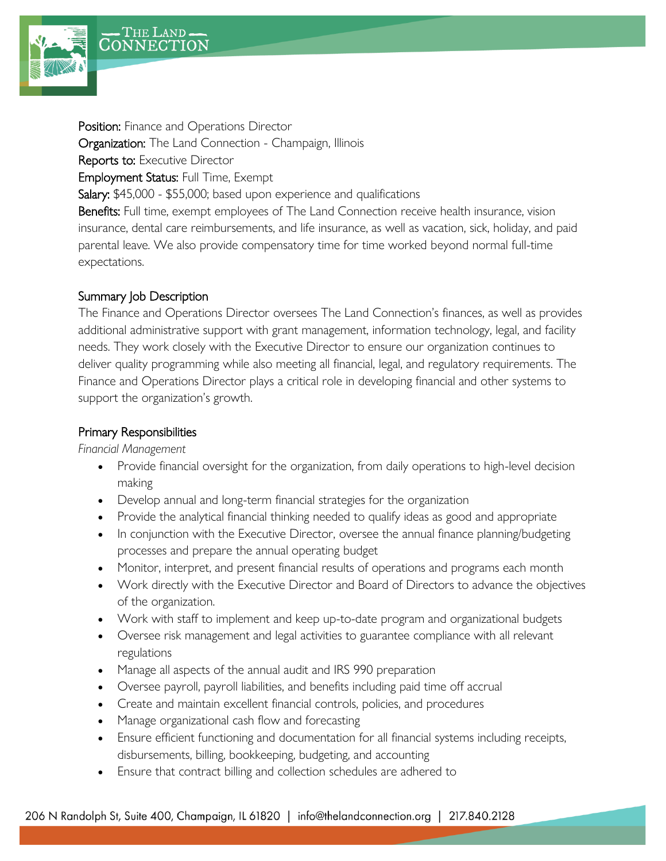



Position: Finance and Operations Director Organization: The Land Connection - Champaign, Illinois Reports to: Executive Director Employment Status: Full Time, Exempt Salary: \$45,000 - \$55,000; based upon experience and qualifications Benefits: Full time, exempt employees of The Land Connection receive health insurance, vision insurance, dental care reimbursements, and life insurance, as well as vacation, sick, holiday, and paid parental leave. We also provide compensatory time for time worked beyond normal full-time expectations.

### Summary Job Description

The Finance and Operations Director oversees The Land Connection's finances, as well as provides additional administrative support with grant management, information technology, legal, and facility needs. They work closely with the Executive Director to ensure our organization continues to deliver quality programming while also meeting all financial, legal, and regulatory requirements. The Finance and Operations Director plays a critical role in developing financial and other systems to support the organization's growth.

#### Primary Responsibilities

*Financial Management*

- Provide financial oversight for the organization, from daily operations to high-level decision making
- Develop annual and long-term financial strategies for the organization
- Provide the analytical financial thinking needed to qualify ideas as good and appropriate
- In conjunction with the Executive Director, oversee the annual finance planning/budgeting processes and prepare the annual operating budget
- Monitor, interpret, and present financial results of operations and programs each month
- Work directly with the Executive Director and Board of Directors to advance the objectives of the organization.
- Work with staff to implement and keep up-to-date program and organizational budgets
- Oversee risk management and legal activities to guarantee compliance with all relevant regulations
- Manage all aspects of the annual audit and IRS 990 preparation
- Oversee payroll, payroll liabilities, and benefits including paid time off accrual
- Create and maintain excellent financial controls, policies, and procedures
- Manage organizational cash flow and forecasting
- Ensure efficient functioning and documentation for all financial systems including receipts, disbursements, billing, bookkeeping, budgeting, and accounting
- Ensure that contract billing and collection schedules are adhered to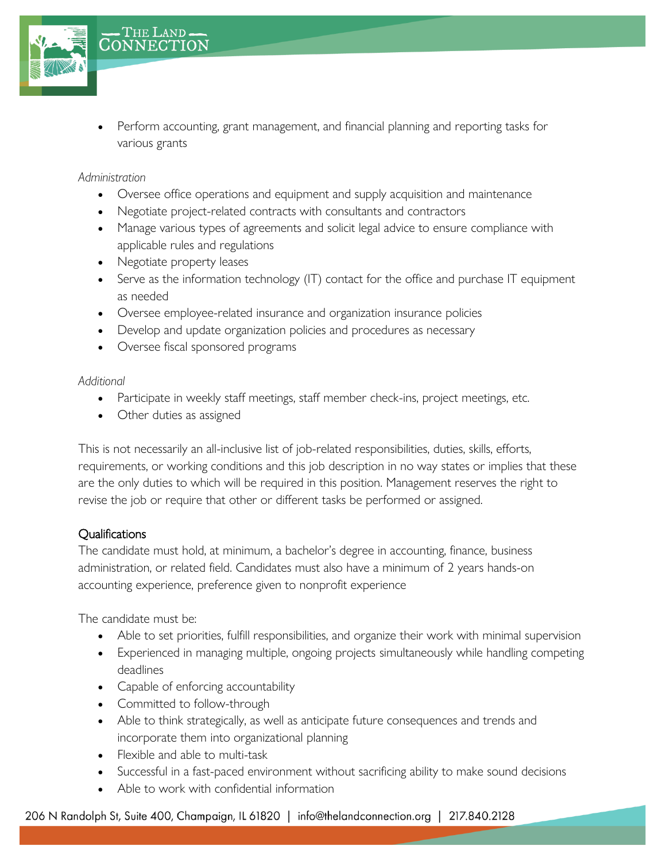

• Perform accounting, grant management, and financial planning and reporting tasks for various grants

*Administration*

- Oversee office operations and equipment and supply acquisition and maintenance
- Negotiate project-related contracts with consultants and contractors
- Manage various types of agreements and solicit legal advice to ensure compliance with applicable rules and regulations
- Negotiate property leases
- Serve as the information technology (IT) contact for the office and purchase IT equipment as needed
- Oversee employee-related insurance and organization insurance policies
- Develop and update organization policies and procedures as necessary
- Oversee fiscal sponsored programs

#### *Additional*

- Participate in weekly staff meetings, staff member check-ins, project meetings, etc.
- Other duties as assigned

This is not necessarily an all-inclusive list of job-related responsibilities, duties, skills, efforts, requirements, or working conditions and this job description in no way states or implies that these are the only duties to which will be required in this position. Management reserves the right to revise the job or require that other or different tasks be performed or assigned.

## **Qualifications**

The candidate must hold, at minimum, a bachelor's degree in accounting, finance, business administration, or related field. Candidates must also have a minimum of 2 years hands-on accounting experience, preference given to nonprofit experience

The candidate must be:

- Able to set priorities, fulfill responsibilities, and organize their work with minimal supervision
- Experienced in managing multiple, ongoing projects simultaneously while handling competing deadlines
- Capable of enforcing accountability
- Committed to follow-through
- Able to think strategically, as well as anticipate future consequences and trends and incorporate them into organizational planning
- Flexible and able to multi-task
- Successful in a fast-paced environment without sacrificing ability to make sound decisions
- Able to work with confidential information

206 N Randolph St, Suite 400, Champaign, IL 61820 | info@thelandconnection.org | 217.840.2128